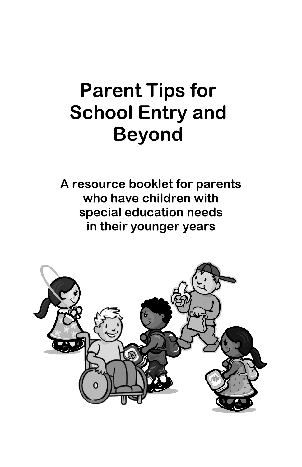# **Parent Tips for School Entry and Beyond**

**A resource booklet for parents who have children with special education needs in their younger years**

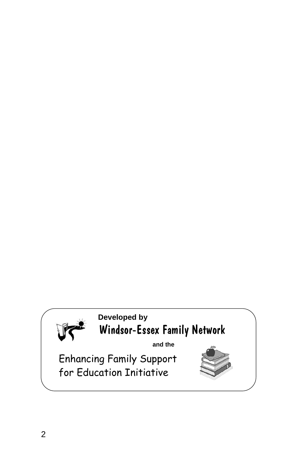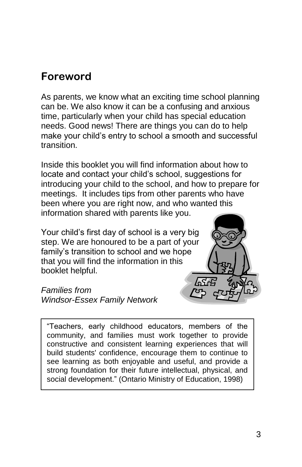### **Foreword**

As parents, we know what an exciting time school planning can be. We also know it can be a confusing and anxious time, particularly when your child has special education needs. Good news! There are things you can do to help make your child's entry to school a smooth and successful transition.

Inside this booklet you will find information about how to locate and contact your child's school, suggestions for introducing your child to the school, and how to prepare for meetings. It includes tips from other parents who have been where you are right now, and who wanted this information shared with parents like you.

Your child's first day of school is a very big step. We are honoured to be a part of your family's transition to school and we hope that you will find the information in this booklet helpful.

*Families from Windsor-Essex Family Network*



"Teachers, early childhood educators, members of the community, and families must work together to provide constructive and consistent learning experiences that will build students' confidence, encourage them to continue to see learning as both enjoyable and useful, and provide a strong foundation for their future intellectual, physical, and social development." (Ontario Ministry of Education, 1998)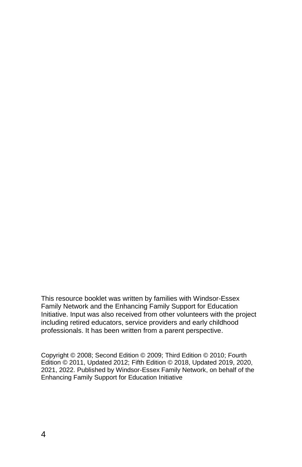This resource booklet was written by families with Windsor-Essex Family Network and the Enhancing Family Support for Education Initiative. Input was also received from other volunteers with the project including retired educators, service providers and early childhood professionals. It has been written from a parent perspective.

Copyright © 2008; Second Edition © 2009; Third Edition © 2010; Fourth Edition © 2011, Updated 2012; Fifth Edition © 2018, Updated 2019, 2020, 2021, 2022. Published by Windsor-Essex Family Network, on behalf of the Enhancing Family Support for Education Initiative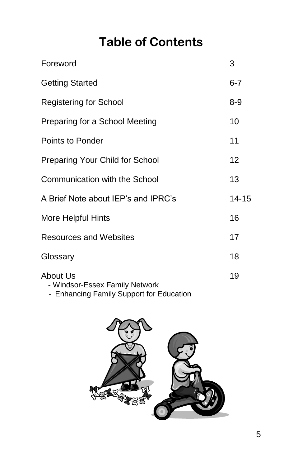# **Table of Contents**

| Foreword                                   | 3       |
|--------------------------------------------|---------|
| <b>Getting Started</b>                     | $6 - 7$ |
| <b>Registering for School</b>              | $8 - 9$ |
| Preparing for a School Meeting             | 10      |
| Points to Ponder                           | 11      |
| Preparing Your Child for School            | 12      |
| Communication with the School              | 13      |
| A Brief Note about IEP's and IPRC's        | 14-15   |
| More Helpful Hints                         | 16      |
| <b>Resources and Websites</b>              | 17      |
| Glossary                                   | 18      |
| About Us<br>- Windsor-Essex Family Network | 19      |

- Enhancing Family Support for Education

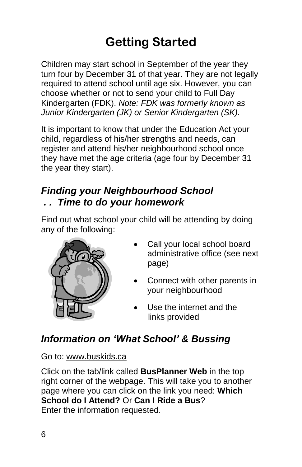# **Getting Started**

Children may start school in September of the year they turn four by December 31 of that year. They are not legally required to attend school until age six. However, you can choose whether or not to send your child to Full Day Kindergarten (FDK). *Note: FDK was formerly known as Junior Kindergarten (JK) or Senior Kindergarten (SK).*

It is important to know that under the Education Act your child, regardless of his/her strengths and needs, can register and attend his/her neighbourhood school once they have met the age criteria (age four by December 31 the year they start).

#### *Finding your Neighbourhood School . . Time to do your homework*

Find out what school your child will be attending by doing any of the following:



- Call your local school board administrative office (see next page)
- Connect with other parents in your neighbourhood
- Use the internet and the links provided

### *Information on 'What School' & Bussing*

Go to: [www.buskids.ca](http://www.buskids.ca/)

Click on the tab/link called **BusPlanner Web** in the top right corner of the webpage. This will take you to another page where you can click on the link you need: **Which School do I Attend?** Or **Can I Ride a Bus**? Enter the information requested.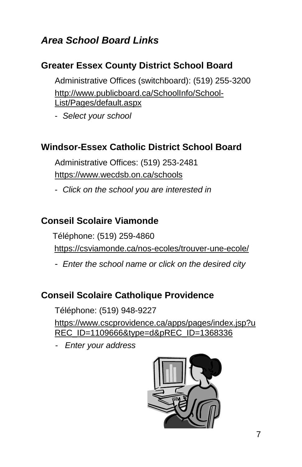### *Area School Board Links*

#### **Greater Essex County District School Board**

 Administrative Offices (switchboard): (519) 255-3200 [http://www.publicboard.ca/SchoolInfo/School-](http://www.publicboard.ca/SchoolInfo/School-List/Pages/default.aspx)[List/Pages/default.aspx](http://www.publicboard.ca/SchoolInfo/School-List/Pages/default.aspx)

- *Select your school* 

#### **Windsor-Essex Catholic District School Board**

 Administrative Offices: (519) 253-2481 <https://www.wecdsb.on.ca/schools>

- *Click on the school you are interested in*

#### **Conseil Scolaire Viamonde**

Téléphone: (519) 259-4860

<https://csviamonde.ca/nos-ecoles/trouver-une-ecole/>

- *Enter the school name or click on the desired city*

#### **Conseil Scolaire Catholique Providence**

Téléphone: (519) 948-9227 [https://www.cscprovidence.ca/apps/pages/index.jsp?u](https://www.cscprovidence.ca/apps/pages/index.jsp?uREC_ID=1109666&type=d&pREC_ID=1368336) [REC\\_ID=1109666&type=d&pREC\\_ID=1368336](https://www.cscprovidence.ca/apps/pages/index.jsp?uREC_ID=1109666&type=d&pREC_ID=1368336)

*- Enter your address*

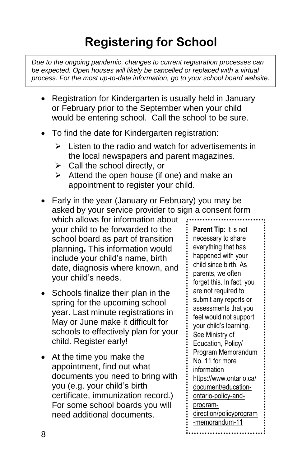# **Registering for School**

*Due to the ongoing pandemic, changes to current registration processes can be expected. Open houses will likely be cancelled or replaced with a virtual process. For the most up-to-date information, go to your school board website.*

- Registration for Kindergarten is usually held in January or February prior to the September when your child would be entering school. Call the school to be sure.
- To find the date for Kindergarten registration:
	- Listen to the radio and watch for advertisements in the local newspapers and parent magazines.
	- $\triangleright$  Call the school directly, or
	- $\triangleright$  Attend the open house (if one) and make an appointment to register your child.
- Early in the year (January or February) you may be asked by your service provider to sign a consent form
- which allows for information about your child to be forwarded to the school board as part of transition planning**.** This information would include your child's name, birth date, diagnosis where known, and your child's needs.
- Schools finalize their plan in the spring for the upcoming school year. Last minute registrations in May or June make it difficult for schools to effectively plan for your child. Register early!
- At the time you make the appointment, find out what documents you need to bring with you (e.g. your child's birth certificate, immunization record.) For some school boards you will need additional documents.

**Parent Tip**: It is not necessary to share everything that has happened with your child since birth. As parents, we often forget this. In fact, you are not required to submit any reports or assessments that you feel would not support your child's learning. See Ministry of Education, Policy/ Program Memorandum No. 11 for more information [https://www.ontario.ca/](https://www.ontario.ca/document/education-ontario-policy-and-program-direction/policyprogram-memorandum-11) [document/education](https://www.ontario.ca/document/education-ontario-policy-and-program-direction/policyprogram-memorandum-11)[ontario-policy-and](https://www.ontario.ca/document/education-ontario-policy-and-program-direction/policyprogram-memorandum-11)[program](https://www.ontario.ca/document/education-ontario-policy-and-program-direction/policyprogram-memorandum-11)[direction/policyprogram](https://www.ontario.ca/document/education-ontario-policy-and-program-direction/policyprogram-memorandum-11) [-memorandum-11](https://www.ontario.ca/document/education-ontario-policy-and-program-direction/policyprogram-memorandum-11)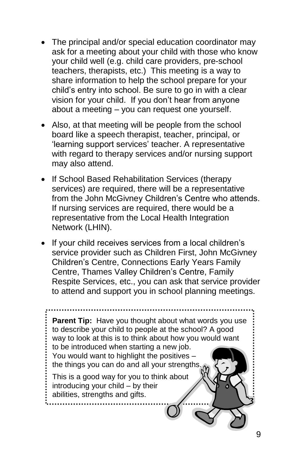- The principal and/or special education coordinator may ask for a meeting about your child with those who know your child well (e.g. child care providers, pre-school teachers, therapists, etc.) This meeting is a way to share information to help the school prepare for your child's entry into school. Be sure to go in with a clear vision for your child. If you don't hear from anyone about a meeting – you can request one yourself.
- Also, at that meeting will be people from the school board like a speech therapist, teacher, principal, or 'learning support services' teacher. A representative with regard to therapy services and/or nursing support may also attend.
- If School Based Rehabilitation Services (therapy services) are required, there will be a representative from the John McGivney Children's Centre who attends. If nursing services are required, there would be a representative from the Local Health Integration Network (LHIN).
- If your child receives services from a local children's service provider such as Children First, John McGivney Children's Centre, Connections Early Years Family Centre, Thames Valley Children's Centre, Family Respite Services, etc., you can ask that service provider to attend and support you in school planning meetings.

**Parent Tip:** Have you thought about what words you use to describe your child to people at the school? A good way to look at this is to think about how you would want to be introduced when starting a new job. You would want to highlight the positives – the things you can do and all your strengths. This is a good way for you to think about introducing your child – by their abilities, strengths and gifts.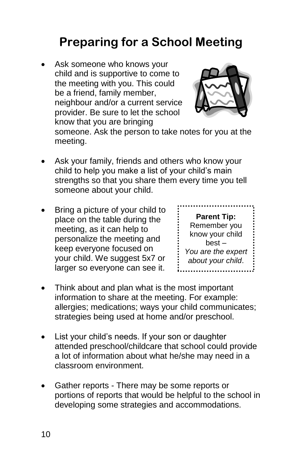# **Preparing for a School Meeting**

Ask someone who knows your child and is supportive to come to the meeting with you. This could be a friend, family member, neighbour and/or a current service provider. Be sure to let the school know that you are bringing



someone. Ask the person to take notes for you at the meeting.

- Ask your family, friends and others who know your child to help you make a list of your child's main strengths so that you share them every time you tell someone about your child.
- Bring a picture of your child to place on the table during the meeting, as it can help to personalize the meeting and keep everyone focused on your child. We suggest 5x7 or larger so everyone can see it.

| <b>Parent Tip:</b> |  |
|--------------------|--|
| Remember you       |  |
| know your child    |  |
| $best -$           |  |
| You are the expert |  |
| about your child.  |  |
|                    |  |

- Think about and plan what is the most important information to share at the meeting. For example: allergies; medications; ways your child communicates; strategies being used at home and/or preschool.
- List your child's needs. If your son or daughter attended preschool/childcare that school could provide a lot of information about what he/she may need in a classroom environment.
- Gather reports There may be some reports or portions of reports that would be helpful to the school in developing some strategies and accommodations.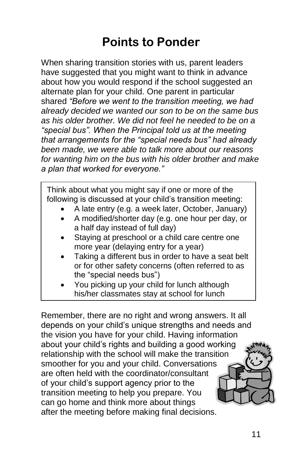## **Points to Ponder**

When sharing transition stories with us, parent leaders have suggested that you might want to think in advance about how you would respond if the school suggested an alternate plan for your child. One parent in particular shared *"Before we went to the transition meeting, we had already decided we wanted our son to be on the same bus as his older brother. We did not feel he needed to be on a "special bus". When the Principal told us at the meeting that arrangements for the "special needs bus" had already been made, we were able to talk more about our reasons for wanting him on the bus with his older brother and make a plan that worked for everyone."*

Think about what you might say if one or more of the following is discussed at your child's transition meeting:

- A late entry (e.g. a week later, October, January)
- A modified/shorter day (e.g. one hour per day, or a half day instead of full day)
- Staying at preschool or a child care centre one more year (delaying entry for a year)
- Taking a different bus in order to have a seat belt or for other safety concerns (often referred to as the "special needs bus")
- You picking up your child for lunch although his/her classmates stay at school for lunch

Remember, there are no right and wrong answers. It all depends on your child's unique strengths and needs and the vision you have for your child. Having information about your child's rights and building a good working relationship with the school will make the transition smoother for you and your child. Conversations are often held with the coordinator/consultant of your child's support agency prior to the transition meeting to help you prepare. You can go home and think more about things after the meeting before making final decisions.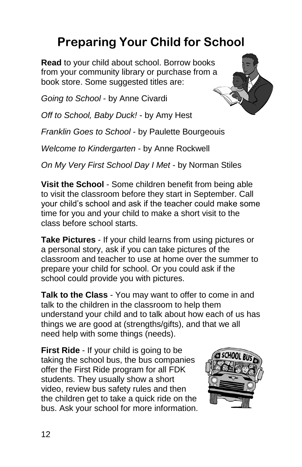# **Preparing Your Child for School**

**Read** to your child about school. Borrow books from your community library or purchase from a book store. Some suggested titles are:

*Going to School* - by [Anne Civardi](http://www.chapters.indigo.ca/books/35/search?sc=Anne+Civardi&sf=Author)

*Off to School, Baby Duck!* - by Amy Hest

*Franklin Goes to School* - by Paulette Bourgeouis

*Welcome to Kindergarten* - by Anne Rockwell

*On My Very First School Day I Met* - by Norman Stiles

**Visit the School** - Some children benefit from being able to visit the classroom before they start in September. Call your child's school and ask if the teacher could make some time for you and your child to make a short visit to the class before school starts.

**Take Pictures** - If your child learns from using pictures or a personal story, ask if you can take pictures of the classroom and teacher to use at home over the summer to prepare your child for school. Or you could ask if the school could provide you with pictures.

**Talk to the Class** - You may want to offer to come in and talk to the children in the classroom to help them understand your child and to talk about how each of us has things we are good at (strengths/gifts), and that we all need help with some things (needs).

**First Ride** - If your child is going to be taking the school bus, the bus companies offer the First Ride program for all FDK students. They usually show a short video, review bus safety rules and then the children get to take a quick ride on the bus. Ask your school for more information.

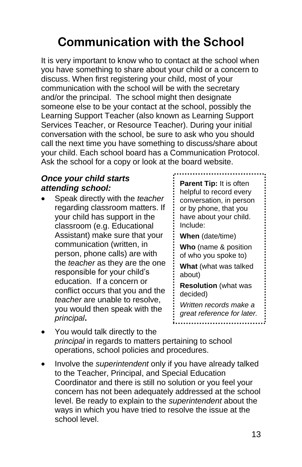# **Communication with the School**

It is very important to know who to contact at the school when you have something to share about your child or a concern to discuss. When first registering your child, most of your communication with the school will be with the secretary and/or the principal. The school might then designate someone else to be your contact at the school, possibly the Learning Support Teacher (also known as Learning Support Services Teacher, or Resource Teacher). During your initial conversation with the school, be sure to ask who you should call the next time you have something to discuss/share about your child. Each school board has a Communication Protocol. Ask the school for a copy or look at the board website.

#### *Once your child starts attending school:*

• Speak directly with the *teacher*  regarding classroom matters. If your child has support in the classroom (e.g. Educational Assistant) make sure that your communication (written, in person, phone calls) are with the *teacher* as they are the one responsible for your child's education. If a concern or conflict occurs that you and the *teacher* are unable to resolve, you would then speak with the *principal***.** 

**Parent Tip:** It is often helpful to record every conversation, in person or by phone, that you have about your child. Include: **When** (date/time)

**Who** (name & position of who you spoke to)

**What** (what was talked about)

**Resolution** (what was decided)

*Written records make a great reference for later.*

- You would talk directly to the *principal* in regards to matters pertaining to school operations, school policies and procedures.
- Involve the *superintendent* only if you have already talked to the Teacher, Principal, and Special Education Coordinator and there is still no solution or you feel your concern has not been adequately addressed at the school level. Be ready to explain to the *superintendent* about the ways in which you have tried to resolve the issue at the school level.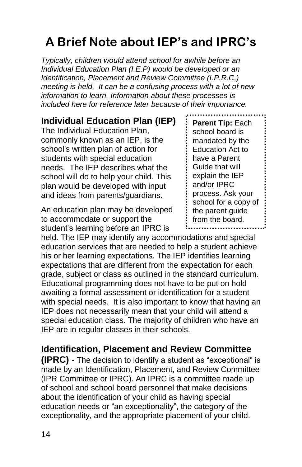# **A Brief Note about IEP's and IPRC's**

*Typically, children would attend school for awhile before an Individual Education Plan (I.E.P) would be developed or an Identification, Placement and Review Committee (I.P.R.C.) meeting is held. It can be a confusing process with a lot of new information to learn. Information about these processes is included here for reference later because of their importance.* 

#### **Individual Education Plan (IEP)**

The Individual Education Plan, commonly known as an IEP, is the school's written plan of action for students with special education needs. The IEP describes what the school will do to help your child. This plan would be developed with input and ideas from parents/guardians.

An education plan may be developed to accommodate or support the student's learning before an IPRC is

held. The IEP may identify any accommodations and special education services that are needed to help a student achieve his or her learning expectations. The IEP identifies learning expectations that are different from the expectation for each grade, subject or class as outlined in the standard curriculum. Educational programming does not have to be put on hold awaiting a formal assessment or identification for a student with special needs. It is also important to know that having an IEP does not necessarily mean that your child will attend a special education class. The majority of children who have an IEP are in regular classes in their schools.

#### **Identification, Placement and Review Committee**

**(IPRC)** - The decision to identify a student as "exceptional" is made by an Identification, Placement, and Review Committee (IPR Committee or IPRC). An IPRC is a committee made up of school and school board personnel that make decisions about the identification of your child as having special education needs or "an exceptionality", the category of the exceptionality, and the appropriate placement of your child.

**Parent Tip:** Each school board is mandated by the Education Act to have a Parent Guide that will explain the IEP and/or IPRC process. Ask your school for a copy of the parent guide from the board.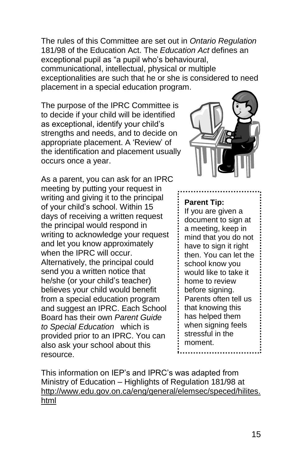The rules of this Committee are set out in *Ontario Regulation* 181/98 of the Education Act. The *Education Act* defines an exceptional pupil as "a pupil who's behavioural, communicational, intellectual, physical or multiple exceptionalities are such that he or she is considered to need placement in a special education program.

The purpose of the IPRC Committee is to decide if your child will be identified as exceptional, identify your child's strengths and needs, and to decide on appropriate placement. A 'Review' of the identification and placement usually occurs once a year.

As a parent, you can ask for an IPRC meeting by putting your request in writing and giving it to the principal of your child's school. Within 15 days of receiving a written request the principal would respond in writing to acknowledge your request and let you know approximately when the IPRC will occur. Alternatively, the principal could send you a written notice that he/she (or your child's teacher) believes your child would benefit from a special education program and suggest an IPRC. Each School Board has their own *Parent Guide to Special Education* which is provided prior to an IPRC. You can also ask your school about this resource.



#### **Parent Tip:**

If you are given a document to sign at a meeting, keep in mind that you do not have to sign it right then. You can let the school know you would like to take it home to review before signing. Parents often tell us that knowing this has helped them when signing feels stressful in the moment.

This information on IEP's and IPRC's was adapted from Ministry of Education – Highlights of Regulation 181/98 at [http://www.edu.gov.on.ca/eng/general/elemsec/speced/hilites.](http://www.edu.gov.on.ca/eng/general/elemsec/speced/hilites.html) [html](http://www.edu.gov.on.ca/eng/general/elemsec/speced/hilites.html)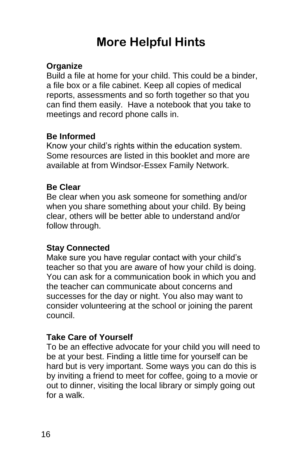# **More Helpful Hints**

#### **Organize**

Build a file at home for your child. This could be a binder, a file box or a file cabinet. Keep all copies of medical reports, assessments and so forth together so that you can find them easily. Have a notebook that you take to meetings and record phone calls in.

#### **Be Informed**

Know your child's rights within the education system. Some resources are listed in this booklet and more are available at from Windsor-Essex Family Network.

#### **Be Clear**

Be clear when you ask someone for something and/or when you share something about your child. By being clear, others will be better able to understand and/or follow through.

#### **Stay Connected**

Make sure you have regular contact with your child's teacher so that you are aware of how your child is doing. You can ask for a communication book in which you and the teacher can communicate about concerns and successes for the day or night. You also may want to consider volunteering at the school or joining the parent council.

#### **Take Care of Yourself**

To be an effective advocate for your child you will need to be at your best. Finding a little time for yourself can be hard but is very important. Some ways you can do this is by inviting a friend to meet for coffee, going to a movie or out to dinner, visiting the local library or simply going out for a walk.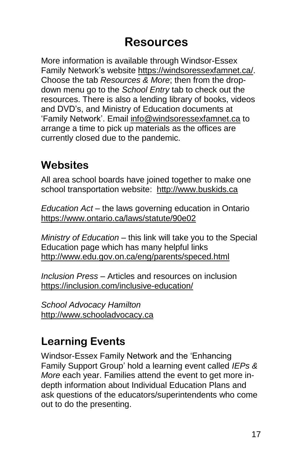### **Resources**

More information is available through Windsor-Essex Family Network's website [https://windsoressexfamnet.ca/.](https://windsoressexfamnet.ca/) Choose the tab *Resources & More*; then from the dropdown menu go to the *School Entry* tab to check out the resources. There is also a lending library of books, videos and DVD's, and Ministry of Education documents at 'Family Network'. Email [info@windsoressexfamnet.ca](mailto:info@windsoressexfamnet.ca) to arrange a time to pick up materials as the offices are currently closed due to the pandemic.

### **Websites**

All area school boards have joined together to make one school transportation website: [http://www.buskids.ca](http://www.buskids.ca/)

*Education Act* – the laws governing education in Ontario <https://www.ontario.ca/laws/statute/90e02>

*Ministry of Education* – this link will take you to the Special Education page which has many helpful links <http://www.edu.gov.on.ca/eng/parents/speced.html>

*Inclusion Press* – Articles and resources on inclusion <https://inclusion.com/inclusive-education/>

*School Advocacy Hamilton* [http://www.schooladvocacy.ca](http://www.schooladvocacy.ca/)

### **Learning Events**

Windsor-Essex Family Network and the 'Enhancing Family Support Group' hold a learning event called *IEPs & More* each year. Families attend the event to get more indepth information about Individual Education Plans and ask questions of the educators/superintendents who come out to do the presenting.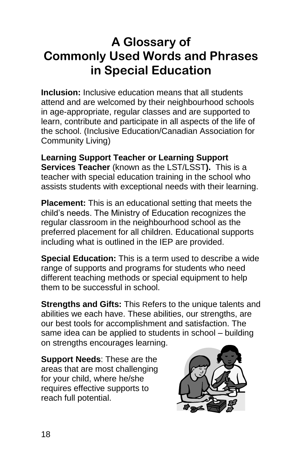### **A Glossary of Commonly Used Words and Phrases in Special Education**

**Inclusion:** Inclusive education means that all students attend and are welcomed by their neighbourhood schools in age-appropriate, regular classes and are supported to learn, contribute and participate in all aspects of the life of the school. (Inclusive Education/Canadian Association for Community Living)

**Learning Support Teacher or Learning Support Services Teacher** (known as the LST/LSST**).** This is a teacher with special education training in the school who assists students with exceptional needs with their learning.

**Placement:** This is an educational setting that meets the child's needs. The Ministry of Education recognizes the regular classroom in the neighbourhood school as the preferred placement for all children. Educational supports including what is outlined in the IEP are provided.

**Special Education:** This is a term used to describe a wide range of supports and programs for students who need different teaching methods or special equipment to help them to be successful in school.

**Strengths and Gifts:** This Refers to the unique talents and abilities we each have. These abilities, our strengths, are our best tools for accomplishment and satisfaction. The same idea can be applied to students in school – building on strengths encourages learning.

**Support Needs**: These are the areas that are most challenging for your child, where he/she requires effective supports to reach full potential.

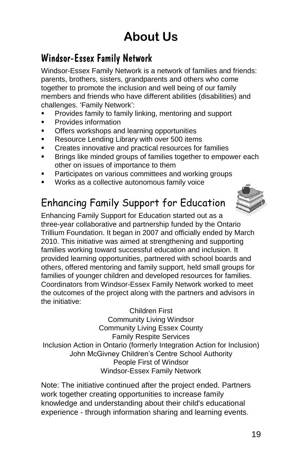# **About Us**

### Windsor-Essex Family Network

Windsor-Essex Family Network is a network of families and friends: parents, brothers, sisters, grandparents and others who come together to promote the inclusion and well being of our family members and friends who have different abilities (disabilities) and challenges. 'Family Network':

- Provides family to family linking, mentoring and support
- Provides information
- Offers workshops and learning opportunities
- Resource Lending Library with over 500 items
- Creates innovative and practical resources for families
- Brings like minded groups of families together to empower each other on issues of importance to them
- Participates on various committees and working groups
- Works as a collective autonomous family voice

### Enhancing Family Support for Education



Enhancing Family Support for Education started out as a three-year collaborative and partnership funded by the Ontario Trillium Foundation. It began in 2007 and officially ended by March 2010. This initiative was aimed at strengthening and supporting families working toward successful education and inclusion. It provided learning opportunities, partnered with school boards and others, offered mentoring and family support, held small groups for families of younger children and developed resources for families. Coordinators from Windsor-Essex Family Network worked to meet the outcomes of the project along with the partners and advisors in the initiative:

Children First Community Living Windsor Community Living Essex County Family Respite Services Inclusion Action in Ontario (formerly Integration Action for Inclusion) John McGivney Children's Centre School Authority People First of Windsor Windsor-Essex Family Network

Note: The initiative continued after the project ended. Partners work together creating opportunities to increase family knowledge and understanding about their child's educational experience - through information sharing and learning events.